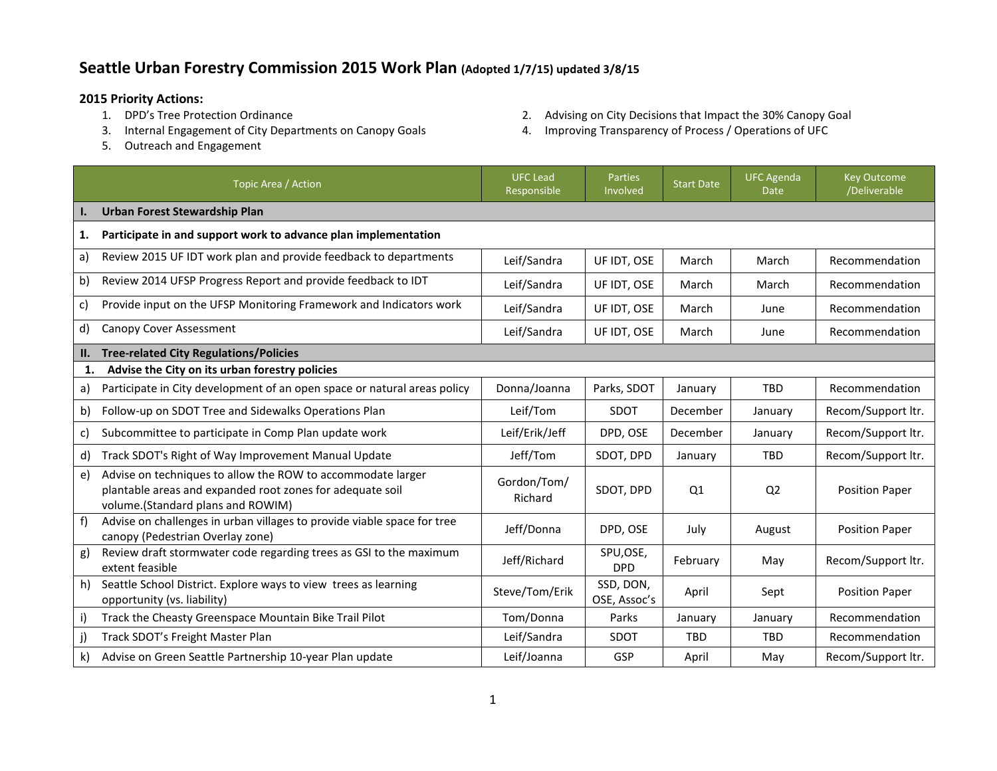## **Seattle Urban Forestry Commission 2015 Work Plan (Adopted 1/7/15) updated 3/8/15**

- **2015 Priority Actions:**
	-
	- 5. Outreach and Engagement
- 2. Advising on City Decisions that Impact the 30% Canopy Goal
- 3. Internal Engagement of City Departments on Canopy Goals 4. Improving Transparency of Process / Operations of UFC

|     | Topic Area / Action                                                                                                                                           | <b>UFC Lead</b><br>Responsible | Parties<br>Involved       | <b>Start Date</b> | <b>UFC Agenda</b><br><b>Date</b> | <b>Key Outcome</b><br>/Deliverable |
|-----|---------------------------------------------------------------------------------------------------------------------------------------------------------------|--------------------------------|---------------------------|-------------------|----------------------------------|------------------------------------|
| Ι.  | <b>Urban Forest Stewardship Plan</b>                                                                                                                          |                                |                           |                   |                                  |                                    |
| 1.  | Participate in and support work to advance plan implementation                                                                                                |                                |                           |                   |                                  |                                    |
| a)  | Review 2015 UF IDT work plan and provide feedback to departments                                                                                              | Leif/Sandra                    | UF IDT, OSE               | March             | March                            | Recommendation                     |
| b)  | Review 2014 UFSP Progress Report and provide feedback to IDT                                                                                                  | Leif/Sandra                    | UF IDT, OSE               | March             | March                            | Recommendation                     |
| c)  | Provide input on the UFSP Monitoring Framework and Indicators work                                                                                            | Leif/Sandra                    | UF IDT, OSE               | March             | June                             | Recommendation                     |
| d)  | Canopy Cover Assessment                                                                                                                                       | Leif/Sandra                    | UF IDT, OSE               | March             | June                             | Recommendation                     |
| II. | <b>Tree-related City Regulations/Policies</b>                                                                                                                 |                                |                           |                   |                                  |                                    |
| 1.  | Advise the City on its urban forestry policies                                                                                                                |                                |                           |                   |                                  |                                    |
| a)  | Participate in City development of an open space or natural areas policy                                                                                      | Donna/Joanna                   | Parks, SDOT               | January           | <b>TBD</b>                       | Recommendation                     |
| b)  | Follow-up on SDOT Tree and Sidewalks Operations Plan                                                                                                          | Leif/Tom                       | <b>SDOT</b>               | December          | January                          | Recom/Support ltr.                 |
| C)  | Subcommittee to participate in Comp Plan update work                                                                                                          | Leif/Erik/Jeff                 | DPD, OSE                  | December          | January                          | Recom/Support ltr.                 |
| d)  | Track SDOT's Right of Way Improvement Manual Update                                                                                                           | Jeff/Tom                       | SDOT, DPD                 | January           | <b>TBD</b>                       | Recom/Support ltr.                 |
| e)  | Advise on techniques to allow the ROW to accommodate larger<br>plantable areas and expanded root zones for adequate soil<br>volume.(Standard plans and ROWIM) | Gordon/Tom/<br>Richard         | SDOT, DPD                 | Q1                | Q <sub>2</sub>                   | <b>Position Paper</b>              |
| f   | Advise on challenges in urban villages to provide viable space for tree<br>canopy (Pedestrian Overlay zone)                                                   | Jeff/Donna                     | DPD, OSE                  | July              | August                           | <b>Position Paper</b>              |
| g)  | Review draft stormwater code regarding trees as GSI to the maximum<br>extent feasible                                                                         | Jeff/Richard                   | SPU,OSE,<br><b>DPD</b>    | February          | May                              | Recom/Support ltr.                 |
| h)  | Seattle School District. Explore ways to view trees as learning<br>opportunity (vs. liability)                                                                | Steve/Tom/Erik                 | SSD, DON,<br>OSE, Assoc's | April             | Sept                             | Position Paper                     |
| i)  | Track the Cheasty Greenspace Mountain Bike Trail Pilot                                                                                                        | Tom/Donna                      | Parks                     | January           | January                          | Recommendation                     |
| j)  | Track SDOT's Freight Master Plan                                                                                                                              | Leif/Sandra                    | SDOT                      | <b>TBD</b>        | <b>TBD</b>                       | Recommendation                     |
| k)  | Advise on Green Seattle Partnership 10-year Plan update                                                                                                       | Leif/Joanna                    | GSP                       | April             | May                              | Recom/Support ltr.                 |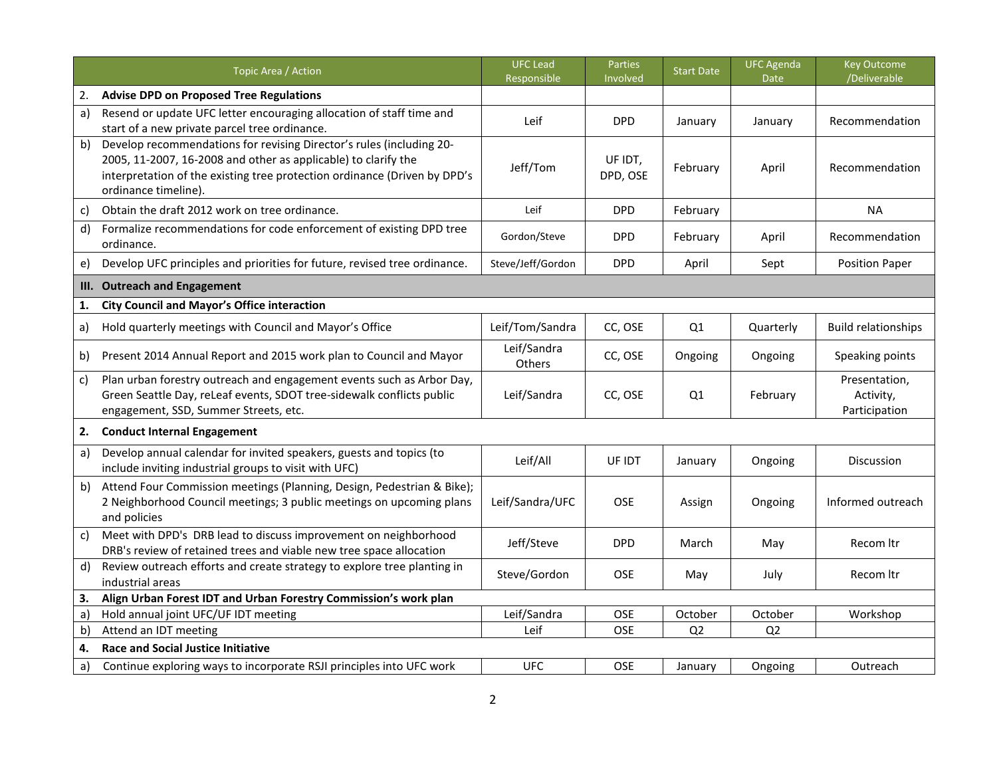|    | Topic Area / Action                                                                                                                                                                                                                         | <b>UFC Lead</b><br>Responsible | Parties<br>Involved | <b>Start Date</b> | <b>UFC Agenda</b><br><b>Date</b> | <b>Key Outcome</b><br>/Deliverable          |
|----|---------------------------------------------------------------------------------------------------------------------------------------------------------------------------------------------------------------------------------------------|--------------------------------|---------------------|-------------------|----------------------------------|---------------------------------------------|
| 2. | <b>Advise DPD on Proposed Tree Regulations</b>                                                                                                                                                                                              |                                |                     |                   |                                  |                                             |
| a) | Resend or update UFC letter encouraging allocation of staff time and<br>start of a new private parcel tree ordinance.                                                                                                                       | Leif                           | <b>DPD</b>          | January           | January                          | Recommendation                              |
| b) | Develop recommendations for revising Director's rules (including 20-<br>2005, 11-2007, 16-2008 and other as applicable) to clarify the<br>interpretation of the existing tree protection ordinance (Driven by DPD's<br>ordinance timeline). | Jeff/Tom                       | UF IDT,<br>DPD, OSE | February          | April                            | Recommendation                              |
| c) | Obtain the draft 2012 work on tree ordinance.                                                                                                                                                                                               | Leif                           | <b>DPD</b>          | February          |                                  | <b>NA</b>                                   |
| d) | Formalize recommendations for code enforcement of existing DPD tree<br>ordinance.                                                                                                                                                           | Gordon/Steve                   | <b>DPD</b>          | February          | April                            | Recommendation                              |
| e) | Develop UFC principles and priorities for future, revised tree ordinance.                                                                                                                                                                   | Steve/Jeff/Gordon              | <b>DPD</b>          | April             | Sept                             | <b>Position Paper</b>                       |
| Ш. | <b>Outreach and Engagement</b>                                                                                                                                                                                                              |                                |                     |                   |                                  |                                             |
| 1. | <b>City Council and Mayor's Office interaction</b>                                                                                                                                                                                          |                                |                     |                   |                                  |                                             |
| a) | Hold quarterly meetings with Council and Mayor's Office                                                                                                                                                                                     | Leif/Tom/Sandra                | CC, OSE             | Q1                | Quarterly                        | <b>Build relationships</b>                  |
| b) | Present 2014 Annual Report and 2015 work plan to Council and Mayor                                                                                                                                                                          | Leif/Sandra<br>Others          | CC, OSE             | Ongoing           | Ongoing                          | Speaking points                             |
| c) | Plan urban forestry outreach and engagement events such as Arbor Day,<br>Green Seattle Day, reLeaf events, SDOT tree-sidewalk conflicts public<br>engagement, SSD, Summer Streets, etc.                                                     | Leif/Sandra                    | CC, OSE             | Q1                | February                         | Presentation,<br>Activity,<br>Participation |
| 2. | <b>Conduct Internal Engagement</b>                                                                                                                                                                                                          |                                |                     |                   |                                  |                                             |
| a) | Develop annual calendar for invited speakers, guests and topics (to<br>include inviting industrial groups to visit with UFC)                                                                                                                | Leif/All                       | UF IDT              | January           | Ongoing                          | <b>Discussion</b>                           |
| b) | Attend Four Commission meetings (Planning, Design, Pedestrian & Bike);<br>2 Neighborhood Council meetings; 3 public meetings on upcoming plans<br>and policies                                                                              | Leif/Sandra/UFC                | <b>OSE</b>          | Assign            | Ongoing                          | Informed outreach                           |
| c) | Meet with DPD's DRB lead to discuss improvement on neighborhood<br>DRB's review of retained trees and viable new tree space allocation                                                                                                      | Jeff/Steve                     | <b>DPD</b>          | March             | May                              | Recom Itr                                   |
| d) | Review outreach efforts and create strategy to explore tree planting in<br>industrial areas                                                                                                                                                 | Steve/Gordon                   | OSE                 | May               | July                             | Recom Itr                                   |
| 3. | Align Urban Forest IDT and Urban Forestry Commission's work plan                                                                                                                                                                            |                                |                     |                   |                                  |                                             |
| a) | Hold annual joint UFC/UF IDT meeting                                                                                                                                                                                                        | Leif/Sandra                    | OSE                 | October           | October                          | Workshop                                    |
| b) | Attend an IDT meeting                                                                                                                                                                                                                       | Leif                           | OSE                 | Q <sub>2</sub>    | Q2                               |                                             |
| 4. | <b>Race and Social Justice Initiative</b>                                                                                                                                                                                                   |                                |                     |                   |                                  |                                             |
| a) | Continue exploring ways to incorporate RSJI principles into UFC work                                                                                                                                                                        | <b>UFC</b>                     | OSE                 | January           | Ongoing                          | Outreach                                    |